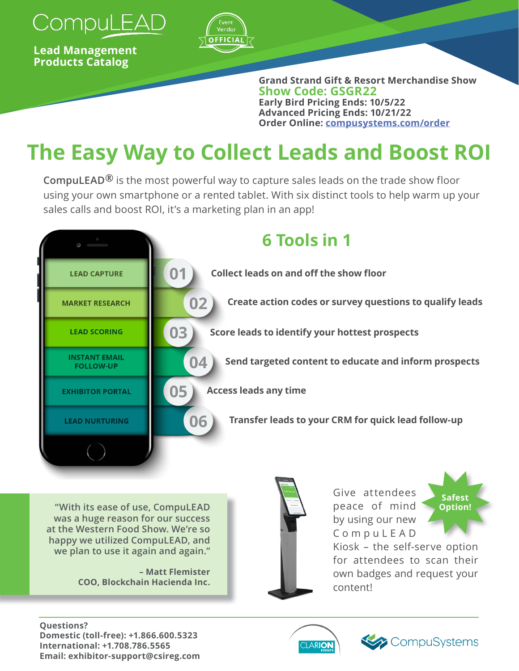

**Lead Management Products Catalog** 



**Grand Strand Gift & Resort Merchandise Show Show Code: GSGR22 Early Bird Pricing Ends: 10/5/22 Advanced Pricing Ends: 10/21/22 Order Online: [compusystems.com/order](https://www.compusystems.com/order/?e=GSGR22)**

# **The Easy Way to Collect Leads and Boost ROI**

**CompuLEAD®** is the most powerful way to capture sales leads on the trade show floor using your own smartphone or a rented tablet. With six distinct tools to help warm up your sales calls and boost ROI, it's a marketing plan in an app!



**"With its ease of use, CompuLEAD was a huge reason for our success at the Western Food Show. We're so happy we utilized CompuLEAD, and we plan to use it again and again."**

> **– Matt Flemister COO, Blockchain Hacienda Inc.**



Give attendees peace of mind by using our new C o m p u L E A D



Kiosk – the self-serve option for attendees to scan their own badges and request your content!

#### **Questions? Domestic (toll-free): +1.866.600.5323 International: +1.708.786.5565 Email: exhibitor-support@csireg.com**